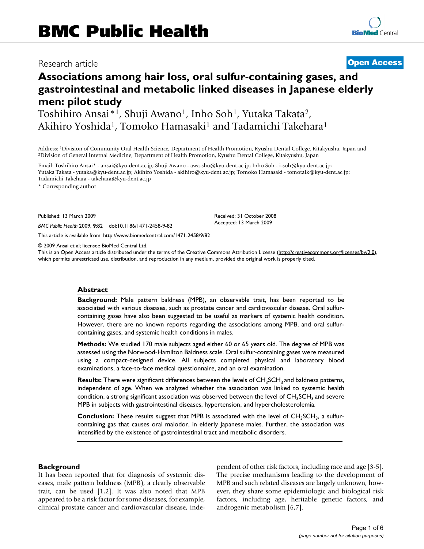## Research article **[Open Access](http://www.biomedcentral.com/info/about/charter/)**

# **Associations among hair loss, oral sulfur-containing gases, and gastrointestinal and metabolic linked diseases in Japanese elderly men: pilot study**

Toshihiro Ansai\*<sup>1</sup>, Shuji Awano<sup>1</sup>, Inho Soh<sup>1</sup>, Yutaka Takata<sup>2</sup>, Akihiro Yoshida<sup>1</sup>, Tomoko Hamasaki<sup>1</sup> and Tadamichi Takehara<sup>1</sup>

Address: <sup>1</sup>Division of Community Oral Health Science, Department of Health Promotion, Kyushu Dental College, Kitakyushu, Japan and<br><sup>2</sup>Division of General Internal Medicine, Department of Health Promotion, Kyushu Dental Co

Email: Toshihiro Ansai\* - ansai@kyu-dent.ac.jp; Shuji Awano - awa-shu@kyu-dent.ac.jp; Inho Soh - i-soh@kyu-dent.ac.jp; Yutaka Takata - yutaka@kyu-dent.ac.jp; Akihiro Yoshida - akihiro@kyu-dent.ac.jp; Tomoko Hamasaki - tomotalk@kyu-dent.ac.jp; Tadamichi Takehara - takehara@kyu-dent.ac.jp

\* Corresponding author

Published: 13 March 2009

*BMC Public Health* 2009, **9**:82 doi:10.1186/1471-2458-9-82

[This article is available from: http://www.biomedcentral.com/1471-2458/9/82](http://www.biomedcentral.com/1471-2458/9/82)

© 2009 Ansai et al; licensee BioMed Central Ltd.

This is an Open Access article distributed under the terms of the Creative Commons Attribution License [\(http://creativecommons.org/licenses/by/2.0\)](http://creativecommons.org/licenses/by/2.0), which permits unrestricted use, distribution, and reproduction in any medium, provided the original work is properly cited.

Received: 31 October 2008 Accepted: 13 March 2009

#### **Abstract**

**Background:** Male pattern baldness (MPB), an observable trait, has been reported to be associated with various diseases, such as prostate cancer and cardiovascular disease. Oral sulfurcontaining gases have also been suggested to be useful as markers of systemic health condition. However, there are no known reports regarding the associations among MPB, and oral sulfurcontaining gases, and systemic health conditions in males.

**Methods:** We studied 170 male subjects aged either 60 or 65 years old. The degree of MPB was assessed using the Norwood-Hamilton Baldness scale. Oral sulfur-containing gases were measured using a compact-designed device. All subjects completed physical and laboratory blood examinations, a face-to-face medical questionnaire, and an oral examination.

**Results:** There were significant differences between the levels of CH<sub>3</sub>SCH<sub>3</sub> and baldness patterns, independent of age. When we analyzed whether the association was linked to systemic health condition, a strong significant association was observed between the level of  $CH<sub>3</sub>SCH<sub>3</sub>$  and severe MPB in subjects with gastrointestinal diseases, hypertension, and hypercholesterolemia.

**Conclusion:** These results suggest that MPB is associated with the level of CH<sub>3</sub>SCH<sub>3</sub>, a sulfurcontaining gas that causes oral malodor, in elderly Japanese males. Further, the association was intensified by the existence of gastrointestinal tract and metabolic disorders.

#### **Background**

It has been reported that for diagnosis of systemic diseases, male pattern baldness (MPB), a clearly observable trait, can be used [1,2]. It was also noted that MPB appeared to be a risk factor for some diseases, for example, clinical prostate cancer and cardiovascular disease, independent of other risk factors, including race and age [3-5]. The precise mechanisms leading to the development of MPB and such related diseases are largely unknown, however, they share some epidemiologic and biological risk factors, including age, heritable genetic factors, and androgenic metabolism [6,7].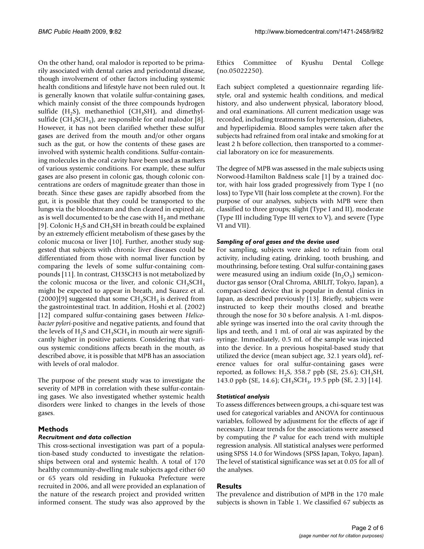On the other hand, oral malodor is reported to be primarily associated with dental caries and periodontal disease, though involvement of other factors including systemic health conditions and lifestyle have not been ruled out. It is generally known that volatile sulfur-containing gases, which mainly consist of the three compounds hydrogen sulfide  $(H_2S)$ , methanethiol (CH<sub>3</sub>SH), and dimethylsulfide ( $CH_3SCH_3$ ), are responsible for oral malodor [8]. However, it has not been clarified whether these sulfur gases are derived from the mouth and/or other organs such as the gut, or how the contents of these gases are involved with systemic health conditions. Sulfur-containing molecules in the oral cavity have been used as markers of various systemic conditions. For example, these sulfur gases are also present in colonic gas, though colonic concentrations are orders of magnitude greater than those in breath. Since these gases are rapidly absorbed from the gut, it is possible that they could be transported to the lungs via the bloodstream and then cleared in expired air, as is well documented to be the case with  $H<sub>2</sub>$  and methane [9]. Colonic H<sub>2</sub>S and CH<sub>3</sub>SH in breath could be explained by an extremely efficient metabolism of these gases by the colonic mucosa or liver [10]. Further, another study suggested that subjects with chronic liver diseases could be differentiated from those with normal liver function by comparing the levels of some sulfur-containing compounds [11]. In contrast, CH3SCH3 is not metabolized by the colonic mucosa or the liver, and colonic  $CH<sub>3</sub>SCH<sub>3</sub>$ might be expected to appear in breath, and Suarez et al.  $(2000)[9]$  suggested that some CH<sub>3</sub>SCH<sub>3</sub> is derived from the gastrointestinal tract. In addition, Hoshi et al. (2002) [12] compared sulfur-containing gases between *Helicobacter pylori*-positive and negative patients, and found that the levels of  $H_2S$  and  $CH_3SCH_3$  in mouth air were significantly higher in positive patients. Considering that various systemic conditions affects breath in the mouth, as described above, it is possible that MPB has an association with levels of oral malodor.

The purpose of the present study was to investigate the severity of MPB in correlation with these sulfur-containing gases. We also investigated whether systemic health disorders were linked to changes in the levels of those gases.

#### **Methods**

#### *Recruitment and data collection*

This cross-sectional investigation was part of a population-based study conducted to investigate the relationships between oral and systemic health. A total of 170 healthy community-dwelling male subjects aged either 60 or 65 years old residing in Fukuoka Prefecture were recruited in 2006, and all were provided an explanation of the nature of the research project and provided written informed consent. The study was also approved by the Ethics Committee of Kyushu Dental College (no.05022250).

Each subject completed a questionnaire regarding lifestyle, oral and systemic health conditions, and medical history, and also underwent physical, laboratory blood, and oral examinations. All current medication usage was recorded, including treatments for hypertension, diabetes, and hyperlipidemia. Blood samples were taken after the subjects had refrained from oral intake and smoking for at least 2 h before collection, then transported to a commercial laboratory on ice for measurements.

The degree of MPB was assessed in the male subjects using Norwood-Hamilton Baldness scale [1] by a trained doctor, with hair loss graded progressively from Type I (no loss) to Type VII (hair loss complete at the crown). For the purpose of our analyses, subjects with MPB were then classified to three groups; slight (Type I and II), moderate (Type III including Type III vertex to V), and severe (Type VI and VII).

#### *Sampling of oral gases and the devise used*

For sampling, subjects were asked to refrain from oral activity, including eating, drinking, tooth brushing, and mouthrinsing, before testing. Oral sulfur-containing gases were measured using an indium oxide  $(In_2O_3)$  semiconductor gas sensor (Oral Chroma, ABILIT, Tokyo, Japan), a compact-sized device that is popular in dental clinics in Japan, as described previously [13]. Briefly, subjects were instructed to keep their mouths closed and breathe through the nose for 30 s before analysis. A 1-mL disposable syringe was inserted into the oral cavity through the lips and teeth, and 1 mL of oral air was aspirated by the syringe. Immediately, 0.5 mL of the sample was injected into the device. In a previous hospital-based study that utilized the device (mean subject age, 32.1 years old), reference values for oral sulfur-containing gases were reported, as follows: H<sub>2</sub>S, 358.7 ppb (SE, 25.6); CH<sub>3</sub>SH, 143.0 ppb (SE, 14.6); CH<sub>3</sub>SCH<sub>3</sub>, 19.5 ppb (SE, 2.3) [14].

#### *Statistical analysis*

To assess differences between groups, a chi-square test was used for categorical variables and ANOVA for continuous variables, followed by adjustment for the effects of age if necessary. Linear trends for the associations were assessed by computing the *P* value for each trend with multiple regression analysis. All statistical analyses were performed using SPSS 14.0 for Windows (SPSS Japan, Tokyo, Japan). The level of statistical significance was set at 0.05 for all of the analyses.

#### **Results**

The prevalence and distribution of MPB in the 170 male subjects is shown in Table 1. We classified 67 subjects as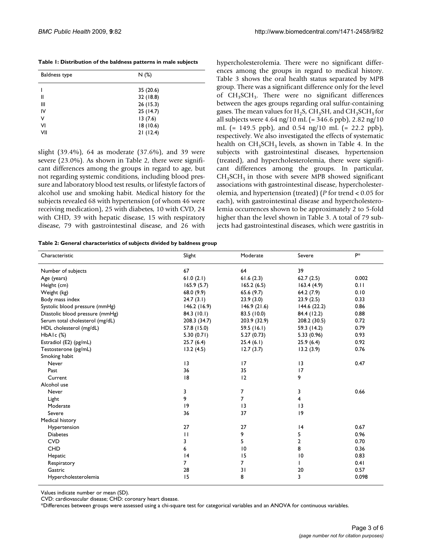|  | Table 1: Distribution of the baldness patterns in male subjects |  |  |  |  |
|--|-----------------------------------------------------------------|--|--|--|--|
|--|-----------------------------------------------------------------|--|--|--|--|

| <b>Baldness type</b> | N(%)      |  |  |
|----------------------|-----------|--|--|
|                      | 35(20.6)  |  |  |
| Ш                    | 32 (18.8) |  |  |
| Ш                    | 26(15.3)  |  |  |
| IV                   | 25(14.7)  |  |  |
| ٧                    | 13(7.6)   |  |  |
| ٧I                   | 18(10.6)  |  |  |
| VII                  | 21(12.4)  |  |  |

slight (39.4%), 64 as moderate (37.6%), and 39 were severe (23.0%). As shown in Table 2, there were significant differences among the groups in regard to age, but not regarding systemic conditions, including blood pressure and laboratory blood test results, or lifestyle factors of alcohol use and smoking habit. Medical history for the subjects revealed 68 with hypertension (of whom 46 were receiving medication), 25 with diabetes, 10 with CVD, 24 with CHD, 39 with hepatic disease, 15 with respiratory disease, 79 with gastrointestinal disease, and 26 with

**Table 2: General characteristics of subjects divided by baldness group**

hypercholesterolemia. There were no significant differences among the groups in regard to medical history. Table 3 shows the oral health status separated by MPB group. There was a significant difference only for the level of CH<sub>3</sub>SCH<sub>3</sub>. There were no significant differences between the ages groups regarding oral sulfur-containing gases. The mean values for  $H_2S$ , CH<sub>3</sub>SH, and CH<sub>3</sub>SCH<sub>3</sub> for all subjects were 4.64 ng/10 mL (= 346.6 ppb), 2.82 ng/10 mL (= 149.5 ppb), and 0.54 ng/10 mL (= 22.2 ppb), respectively. We also investigated the effects of systematic health on  $CH_3SCH_3$  levels, as shown in Table 4. In the subjects with gastrointestinal diseases, hypertension (treated), and hypercholesterolemia, there were significant differences among the groups. In particular,  $CH<sub>3</sub>SCH<sub>3</sub>$  in those with severe MPB showed significant associations with gastrointestinal disease, hypercholesterolemia, and hypertension (treated) (*P* for trend < 0.05 for each), with gastrointestinal disease and hypercholesterolemia occurrences shown to be approximately 2 to 5-fold higher than the level shown in Table 3. A total of 79 subjects had gastrointestinal diseases, which were gastritis in

| Characteristic                  | Slight          | Moderate     | Severe          | p*    |
|---------------------------------|-----------------|--------------|-----------------|-------|
| Number of subjects              | 67              | 64           | 39              |       |
| Age (years)                     | 61.0(2.1)       | 61.6(2.3)    | 62.7(2.5)       | 0.002 |
| Height (cm)                     | 165.9(5.7)      | 165.2(6.5)   | 163.4(4.9)      | 0.11  |
| Weight (kg)                     | 68.0 (9.9)      | 65.6(9.7)    | 64.2(7.9)       | 0.10  |
| Body mass index                 | 24.7(3.1)       | 23.9(3.0)    | 23.9(2.5)       | 0.33  |
| Systolic blood pressure (mmHg)  | 146.2(16.9)     | 146.9(21.6)  | 144.6(22.2)     | 0.86  |
| Diastolic blood pressure (mmHg) | 84.3(10.1)      | 83.5 (10.0)  | 84.4 (12.2)     | 0.88  |
| Serum total cholesterol (mg/dL) | 208.3 (34.7)    | 203.9 (32.9) | 208.2 (30.5)    | 0.72  |
| HDL cholesterol (mg/dL)         | 57.8 (15.0)     | 59.5 (16.1)  | 59.3 (14.2)     | 0.79  |
| $HbA1c$ $(\%)$                  | 5.30(0.71)      | 5.27(0.73)   | 5.33 (0.96)     | 0.93  |
| Estradiol (E2) (pg/mL)          | 25.7(6.4)       | 25.4(6.1)    | 25.9(6.4)       | 0.92  |
| Testosterone (pg/mL)            | 13.2(4.5)       | 12.7(3.7)    | 13.2(3.9)       | 0.76  |
| Smoking habit                   |                 |              |                 |       |
| Never                           | $\overline{13}$ | 17           | 13              | 0.47  |
| Past                            | 36              | 35           | 17              |       |
| Current                         | 8               | 12           | 9               |       |
| Alcohol use                     |                 |              |                 |       |
| Never                           | 3               | 7            | 3               | 0.66  |
| Light                           | 9               | 7            | 4               |       |
| Moderate                        | 9               | 13           | 13              |       |
| Severe                          | 36              | 37           | 9               |       |
| Medical history                 |                 |              |                 |       |
| Hypertension                    | 27              | 27           | 4               | 0.67  |
| <b>Diabetes</b>                 | $\mathbf{H}$    | 9            | 5               | 0.96  |
| <b>CVD</b>                      | 3               | 5            | 2               | 0.70  |
| <b>CHD</b>                      | 6               | 10           | 8               | 0.36  |
| Hepatic                         | 4               | 15           | $\overline{10}$ | 0.83  |
| Respiratory                     | 7               | 7            | L               | 0.41  |
| Gastric                         | 28              | 31           | 20              | 0.57  |
| Hypercholesterolemia            | 15              | 8            | 3               | 0.098 |

Values indicate number or mean (SD).

CVD: cardiovascular disease; CHD: coronary heart disease.

\*Differences between groups were assessed using a chi-square test for categorical variables and an ANOVA for continuous variables.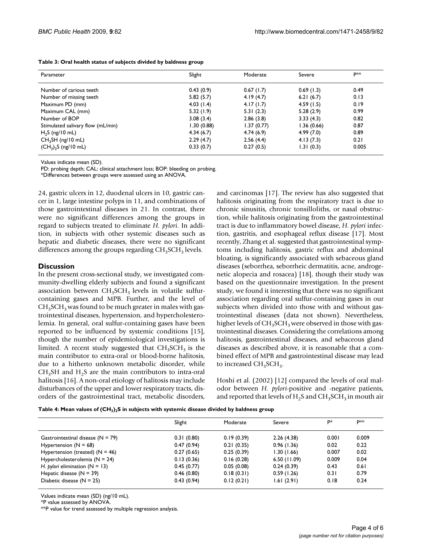| Parameter                         | Slight     | Moderate   | Severe      | P∗∗<br>0.49 |  |
|-----------------------------------|------------|------------|-------------|-------------|--|
| Number of carious teeth           | 0.43(0.9)  | 0.67(1.7)  | 0.69(1.3)   |             |  |
| Number of missing teeth           | 5.82(5.7)  | 4.19(4.7)  | 6.21(6.7)   | 0.13        |  |
| Maximum PD (mm)                   | 4.03(1.4)  | 4.17(1.7)  | 4.59(1.5)   | 0.19        |  |
| Maximum CAL (mm)                  | 5.32(1.9)  | 5.31(2.3)  | 5.28(2.9)   | 0.99        |  |
| Number of BOP                     | 3.08(3.4)  | 2.86(3.8)  | 3.33(4.3)   | 0.82        |  |
| Stimulated salivary flow (mL/min) | 1.30(0.88) | 1.37(0.77) | 1.36 (0.66) | 0.87        |  |
| $H2S$ (ng/10 mL)                  | 4.34(6.7)  | 4.74(6.9)  | 4.99(7.0)   | 0.89        |  |
| $CH3SH$ (ng/10 mL)                | 2.29(4.7)  | 2.56(4.4)  | 4.13(7.3)   | 0.21        |  |
| $(CH_3)_{2}S$ (ng/10 mL)          | 0.33(0.7)  | 0.27(0.5)  | 1.31(0.3)   | 0.005       |  |

**Table 3: Oral health status of subjects divided by baldness group**

Values indicate mean (SD).

PD: probing depth; CAL: clinical attachment loss; BOP: bleeding on probing.

\*Differences between groups were assessed using an ANOVA.

24, gastric ulcers in 12, duodenal ulcers in 10, gastric cancer in 1, large intestine polyps in 11, and combinations of those gastrointestinal diseases in 21. In contrast, there were no significant differences among the groups in regard to subjects treated to eliminate *H. pylori*. In addition, in subjects with other systemic diseases such as hepatic and diabetic diseases, there were no significant differences among the groups regarding  $CH<sub>3</sub>SCH<sub>3</sub>$  levels.

#### **Discussion**

In the present cross-sectional study, we investigated community-dwelling elderly subjects and found a significant association between  $CH<sub>3</sub>SCH<sub>3</sub>$  levels in volatile sulfurcontaining gases and MPB. Further, and the level of  $CH<sub>3</sub>SCH<sub>3</sub>$  was found to be much greater in males with gastrointestinal diseases, hypertension, and hypercholesterolemia. In general, oral sulfur-containing gases have been reported to be influenced by systemic conditions [15], though the number of epidemiological investigations is limited. A recent study suggested that  $CH<sub>3</sub>SCH<sub>3</sub>$  is the main contributor to extra-oral or blood-borne halitosis, due to a hitherto unknown metabolic disorder, while  $CH<sub>3</sub>SH$  and  $H<sub>2</sub>S$  are the main contributors to intra-oral halitosis [16]. A non-oral etiology of halitosis may include disturbances of the upper and lower respiratory tracts, disorders of the gastrointestinal tract, metabolic disorders,

and carcinomas [17]. The review has also suggested that halitosis originating from the respiratory tract is due to chronic sinusitis, chronic tonsilloliths, or nasal obstruction, while halitosis originating from the gastrointestinal tract is due to inflammatory bowel disease, *H. pylori* infection, gastritis, and esophageal reflux disease [17]. Most recently, Zhang et al. suggested that gastrointestinal symptoms including halitosis, gastric reflux and abdominal bloating, is significantly associated with sebaceous gland diseases (seborrhea, seborrheic dermatitis, acne, androgenetic alopecia and rosacea) [18], though their study was based on the questionnaire investigation. In the present study, we found it interesting that there was no significant association regarding oral sulfur-containing gases in our subjects when divided into those with and without gastrointestinal diseases (data not shown). Nevertheless, higher levels of  $CH_3SCH_3$  were observed in those with gastrointestinal diseases. Considering the correlations among halitosis, gastrointestinal diseases, and sebaceous gland diseases as described above, it is reasonable that a combined effect of MPB and gastrointestinal disease may lead to increased  $CH<sub>3</sub>SCH<sub>3</sub>$ .

Hoshi et al. (2002) [12] compared the levels of oral malodor between *H. pylori*-positive and -negative patients, and reported that levels of  $H_2S$  and  $CH_3SCH_3$  in mouth air

Table 4: Mean values of  $(CH_3)_2$ S in subjects with systemic disease divided by baldness group

|                                       | Slight     | Moderate   | Severe      | D∗    | <b>D</b> ** |
|---------------------------------------|------------|------------|-------------|-------|-------------|
| Gastrointestinal disease ( $N = 79$ ) | 0.31(0.80) | 0.19(0.39) | 2.26(4.38)  | 0.001 | 0.009       |
| Hypertension $(N = 68)$               | 0.47(0.94) | 0.21(0.35) | 0.96(1.36)  | 0.02  | 0.22        |
| Hypertension (treated) $(N = 46)$     | 0.27(0.65) | 0.25(0.39) | 1.30(1.66)  | 0.007 | 0.02        |
| Hypercholesterolemia ( $N = 24$ )     | 0.13(0.36) | 0.16(0.28) | 6.50(11.09) | 0.009 | 0.04        |
| H. pylori elimination $(N = 13)$      | 0.45(0.77) | 0.05(0.08) | 0.24(0.39)  | 0.43  | 0.61        |
| Hepatic disease $(N = 39)$            | 0.46(0.80) | 0.18(0.31) | 0.59(1.26)  | 0.31  | 0.79        |
| Diabetic disease $(N = 25)$           | 0.43(0.94) | 0.12(0.21) | 1.61(2.91)  | 0.18  | 0.24        |

Values indicate mean (SD) (ng/10 mL).

\*P value assessed by ANOVA.

\*\*P value for trend assessed by multiple regression analysis.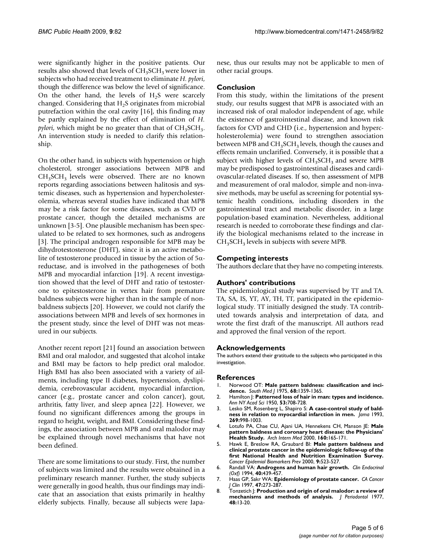were significantly higher in the positive patients. Our results also showed that levels of CH<sub>3</sub>SCH<sub>3</sub> were lower in subjects who had received treatment to eliminate *H. pylori*, though the difference was below the level of significance. On the other hand, the levels of  $H<sub>2</sub>S$  were scarcely changed. Considering that  $H<sub>2</sub>S$  originates from microbial putrefaction within the oral cavity [16], this finding may be partly explained by the effect of elimination of *H. pylori*, which might be no greater than that of  $CH<sub>3</sub>SCH<sub>3</sub>$ . An intervention study is needed to clarify this relationship.

On the other hand, in subjects with hypertension or high cholesterol, stronger associations between MPB and CH3SCH3 levels were observed. There are no known reports regarding associations between halitosis and systemic diseases, such as hypertension and hypercholesterolemia, whereas several studies have indicated that MPB may be a risk factor for some diseases, such as CVD or prostate cancer, though the detailed mechanisms are unknown [3-5]. One plausible mechanism has been speculated to be related to sex hormones, such as androgens [3]. The principal androgen responsible for MPB may be dihydrotestosterone (DHT), since it is an active metabolite of testosterone produced in tissue by the action of 5αreductase, and is involved in the pathogeneses of both MPB and myocardial infarction [19]. A recent investigation showed that the level of DHT and ratio of testosterone to epitestosterone in vertex hair from premature baldness subjects were higher than in the sample of nonbaldness subjects [20]. However, we could not clarify the associations between MPB and levels of sex hormones in the present study, since the level of DHT was not measured in our subjects.

Another recent report [21] found an association between BMI and oral malodor, and suggested that alcohol intake and BMI may be factors to help predict oral malodor. High BMI has also been associated with a variety of ailments, including type II diabetes, hypertension, dyslipidemia, cerebrovascular accident, myocardial infarction, cancer (e.g., prostate cancer and colon cancer), gout, arthritis, fatty liver, and sleep apnea [22]. However, we found no significant differences among the groups in regard to height, weight, and BMI. Considering these findings, the association between MPB and oral malodor may be explained through novel mechanisms that have not been defined.

There are some limitations to our study. First, the number of subjects was limited and the results were obtained in a preliminary research manner. Further, the study subjects were generally in good health, thus our findings may indicate that an association that exists primarily in healthy elderly subjects. Finally, because all subjects were Japanese, thus our results may not be applicable to men of other racial groups.

#### **Conclusion**

From this study, within the limitations of the present study, our results suggest that MPB is associated with an increased risk of oral malodor independent of age, while the existence of gastrointestinal disease, and known risk factors for CVD and CHD (i.e., hypertension and hypercholesterolemia) were found to strengthen association between MPB and  $CH<sub>3</sub>SCH<sub>3</sub>$  levels, though the causes and effects remain unclarified. Conversely, it is possible that a subject with higher levels of  $CH<sub>3</sub>SCH<sub>3</sub>$  and severe MPB may be predisposed to gastrointestinal diseases and cardiovascular-related diseases. If so, then assessment of MPB and measurement of oral malodor, simple and non-invasive methods, may be useful as screening for potential systemic health conditions, including disorders in the gastrointestinal tract and metabolic disorder, in a large population-based examination. Nevertheless, additional research is needed to corroborate these findings and clarify the biological mechanisms related to the increase in  $CH<sub>3</sub>SCH<sub>3</sub>$  levels in subjects with severe MPB.

### **Competing interests**

The authors declare that they have no competing interests.

#### **Authors' contributions**

The epidemiological study was supervised by TT and TA. TA, SA, IS, YT, AY, TH, TT, participated in the epidemiological study. TT initially designed the study. TA contributed towards analysis and interpretation of data, and wrote the first draft of the manuscript. All authors read and approved the final version of the report.

#### **Acknowledgements**

The authors extend their gratitude to the subjects who participated in this investigation.

#### **References**

- 1. Norwood OT: **[Male pattern baldness: classification and inci](http://www.ncbi.nlm.nih.gov/entrez/query.fcgi?cmd=Retrieve&db=PubMed&dopt=Abstract&list_uids=1188424)[dence.](http://www.ncbi.nlm.nih.gov/entrez/query.fcgi?cmd=Retrieve&db=PubMed&dopt=Abstract&list_uids=1188424)** *South Med J* 1975, **68:**1359-1365.
- 2. Hamilton J: **Patterned loss of hair in man: types and incidence.** *Ann NY Acad Sci* 1950, **53:**708-728.
- 3. Lesko SM, Rosenberg L, Shapiro S: **[A case-control study of bald](http://www.ncbi.nlm.nih.gov/entrez/query.fcgi?cmd=Retrieve&db=PubMed&dopt=Abstract&list_uids=8429606)[ness in relation to myocardial infarction in men.](http://www.ncbi.nlm.nih.gov/entrez/query.fcgi?cmd=Retrieve&db=PubMed&dopt=Abstract&list_uids=8429606)** *Jama* 1993, **269:**998-1003.
- 4. Lotufo PA, Chae CU, Ajani UA, Hennekens CH, Manson JE: **[Male](http://www.ncbi.nlm.nih.gov/entrez/query.fcgi?cmd=Retrieve&db=PubMed&dopt=Abstract&list_uids=10647754) [pattern baldness and coronary heart disease: the Physicians'](http://www.ncbi.nlm.nih.gov/entrez/query.fcgi?cmd=Retrieve&db=PubMed&dopt=Abstract&list_uids=10647754) [Health Study.](http://www.ncbi.nlm.nih.gov/entrez/query.fcgi?cmd=Retrieve&db=PubMed&dopt=Abstract&list_uids=10647754)** *Arch Intern Med* 2000, **160:**165-171.
- 5. Hawk E, Breslow RA, Graubard BI: **[Male pattern baldness and](http://www.ncbi.nlm.nih.gov/entrez/query.fcgi?cmd=Retrieve&db=PubMed&dopt=Abstract&list_uids=10815699) [clinical prostate cancer in the epidemiologic follow-up of the](http://www.ncbi.nlm.nih.gov/entrez/query.fcgi?cmd=Retrieve&db=PubMed&dopt=Abstract&list_uids=10815699) first National Health and Nutrition Examination Survey.** *Cancer Epidemiol Biomarkers Prev* 2000, **9:**523-527.
- 6. Randall VA: **[Androgens and human hair growth.](http://www.ncbi.nlm.nih.gov/entrez/query.fcgi?cmd=Retrieve&db=PubMed&dopt=Abstract&list_uids=8187311)** *Clin Endocrinol (Oxf)* 1994, **40:**439-457.
- 7. Haas GP, Sakr WA: **[Epidemiology of prostate cancer.](http://www.ncbi.nlm.nih.gov/entrez/query.fcgi?cmd=Retrieve&db=PubMed&dopt=Abstract&list_uids=9314822)** *CA Cancer J Clin* 1997, **47:**273-287.
- 8. Tonzetich J: **[Production and origin of oral malodor: a review of](http://www.ncbi.nlm.nih.gov/entrez/query.fcgi?cmd=Retrieve&db=PubMed&dopt=Abstract&list_uids=264535) [mechanisms and methods of analysis.](http://www.ncbi.nlm.nih.gov/entrez/query.fcgi?cmd=Retrieve&db=PubMed&dopt=Abstract&list_uids=264535)** *J Periodontol* 1977, **48:**13-20.